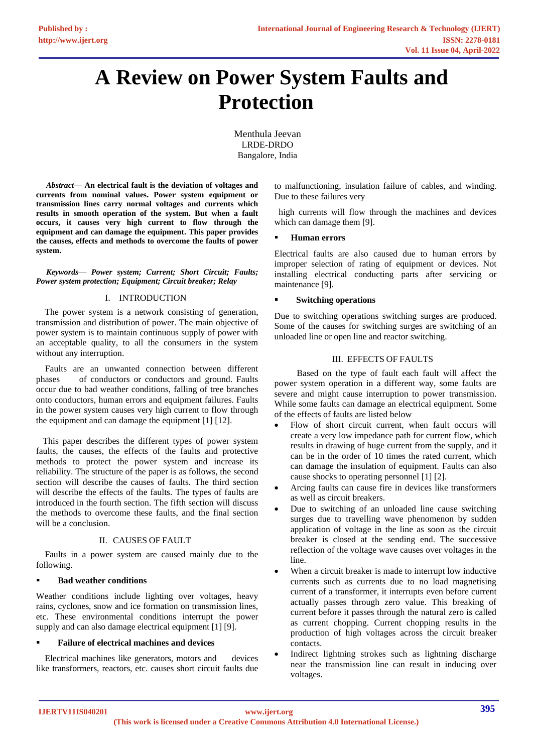# **A Review on Power System Faults and Protection**

Menthula Jeevan LRDE-DRDO Bangalore, India

 *Abstract*— **An electrical fault is the deviation of voltages and currents from nominal values. Power system equipment or transmission lines carry normal voltages and currents which results in smooth operation of the system. But when a fault occurs, it causes very high current to flow through the equipment and can damage the equipment. This paper provides the causes, effects and methods to overcome the faults of power system.**

 *Keywords*— *Power system; Current; Short Circuit; Faults; Power system protection; Equipment; Circuit breaker; Relay*

## I. INTRODUCTION

 The power system is a network consisting of generation, transmission and distribution of power. The main objective of power system is to maintain continuous supply of power with an acceptable quality, to all the consumers in the system without any interruption.

 Faults are an unwanted connection between different phases of conductors or conductors and ground. Faults occur due to bad weather conditions, falling of tree branches onto conductors, human errors and equipment failures. Faults in the power system causes very high current to flow through the equipment and can damage the equipment [1] [12].

 This paper describes the different types of power system faults, the causes, the effects of the faults and protective methods to protect the power system and increase its reliability. The structure of the paper is as follows, the second section will describe the causes of faults. The third section will describe the effects of the faults. The types of faults are introduced in the fourth section. The fifth section will discuss the methods to overcome these faults, and the final section will be a conclusion.

# II. CAUSES OF FAULT

 Faults in a power system are caused mainly due to the following.

#### **Bad weather conditions**

Weather conditions include lighting over voltages, heavy rains, cyclones, snow and ice formation on transmission lines, etc. These environmental conditions interrupt the power supply and can also damage electrical equipment [1] [9].

#### ▪ **Failure of electrical machines and devices**

 Electrical machines like [generators,](https://www.elprocus.com/electric-generator-and-its-working/) motors and devices like transformers, reactors, etc. causes short circuit faults due to malfunctioning, insulation failure of cables, and winding. Due to these failures very

 high currents will flow through the machines and devices which can damage them [9].

#### **Human errors**

Electrical faults are also caused due to human errors by improper selection of rating of equipment or devices. Not installing electrical conducting parts after servicing or maintenance [9].

## **Switching operations**

Due to switching operations switching surges are produced. Some of the causes for switching surges are switching of an unloaded line or open line and reactor switching.

# III. EFFECTS OF FAULTS

 Based on the type of fault each fault will affect the power system operation in a different way, some faults are severe and might cause interruption to power transmission. While some faults can damage an electrical equipment. Some of the effects of faults are listed below

- Flow of short circuit current, when fault occurs will create a very low impedance path for current flow, which results in drawing of huge current from the supply, and it can be in the order of 10 times the rated current, which can damage the insulation of equipment. Faults can also cause shocks to operating personnel [1] [2].
- Arcing faults can cause fire in devices like transformers as well as circuit breakers.
- Due to switching of an unloaded line cause switching surges due to travelling wave phenomenon by sudden application of voltage in the line as soon as the circuit breaker is closed at the sending end. The successive reflection of the voltage wave causes over voltages in the line.
- When a circuit breaker is made to interrupt low inductive currents such as currents due to no load magnetising current of a transformer, it interrupts even before current actually passes through zero value. This breaking of current before it passes through the natural zero is called as current chopping. Current chopping results in the production of high voltages across the circuit breaker contacts.
- Indirect lightning strokes such as lightning discharge near the transmission line can result in inducing over voltages.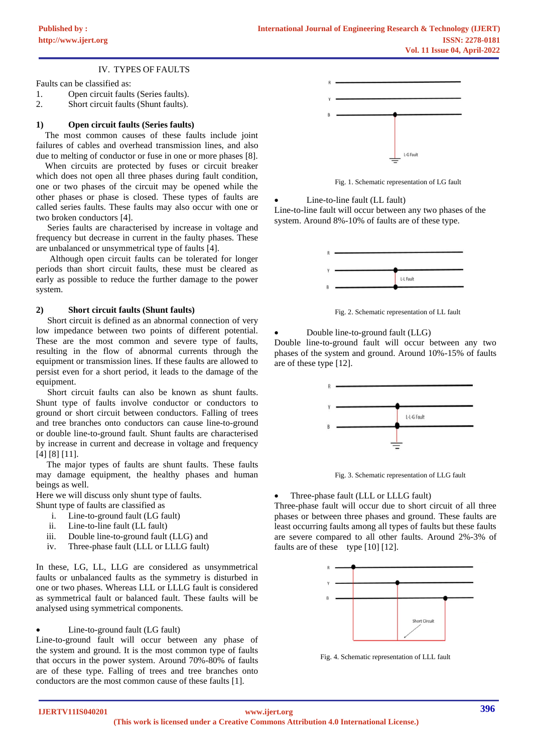IV. TYPES OF FAULTS

Faults can be classified as:

- 1. Open circuit faults (Series faults).
- 2. Short circuit faults (Shunt faults).

## **1) Open circuit faults (Series faults)**

 The most common causes of these faults include joint failures of cables and overhead transmission lines, and also due to melting of conductor or fuse in one or more phases [8].

 When circuits are protected by fuses or circuit breaker which does not open all three phases during fault condition, one or two phases of the circuit may be opened while the other phases or phase is closed. These types of faults are called series faults. These faults may also occur with one or two broken conductors [4].

 Series faults are characterised by increase in voltage and frequency but decrease in current in the faulty phases. These are unbalanced or unsymmetrical type of faults [4].

 Although open circuit faults can be tolerated for longer periods than short circuit faults, these must be cleared as early as possible to reduce the further damage to the power system.

#### **2) Short circuit faults (Shunt faults)**

 Short circuit is defined as an abnormal connection of very low impedance between two points of different potential. These are the most common and severe type of faults, resulting in the flow of abnormal currents through the equipment or transmission lines. If these faults are allowed to persist even for a short period, it leads to the damage of the equipment.

 Short circuit faults can also be known as shunt faults. Shunt type of faults involve conductor or conductors to ground or short circuit between conductors. Falling of trees and tree branches onto conductors can cause line-to-ground or double line-to-ground fault. Shunt faults are characterised by increase in current and decrease in voltage and frequency [4] [8] [11].

 The major types of faults are shunt faults. These faults may damage equipment, the healthy phases and human beings as well.

Here we will discuss only shunt type of faults.

- Shunt type of faults are classified as
	- i. Line-to-ground fault (LG fault)
	- ii. Line-to-line fault (LL fault)
	- iii. Double line-to-ground fault (LLG) and
	- iv. Three-phase fault (LLL or LLLG fault)

In these, LG, LL, LLG are considered as unsymmetrical faults or unbalanced faults as the symmetry is disturbed in one or two phases. Whereas LLL or LLLG fault is considered as symmetrical fault or balanced fault. These faults will be analysed using symmetrical components.

## • Line-to-ground fault (LG fault)

Line-to-ground fault will occur between any phase of the system and ground. It is the most common type of faults that occurs in the power system. Around 70%-80% of faults are of these type. Falling of trees and tree branches onto conductors are the most common cause of these faults [1].



Fig. 1. Schematic representation of LG fault

Line-to-line fault (LL fault)

Line-to-line fault will occur between any two phases of the system. Around 8%-10% of faults are of these type.



Fig. 2. Schematic representation of LL fault

• Double line-to-ground fault (LLG)

Double line-to-ground fault will occur between any two phases of the system and ground. Around 10%-15% of faults are of these type [12].



Fig. 3. Schematic representation of LLG fault

• Three-phase fault (LLL or LLLG fault)

Three-phase fault will occur due to short circuit of all three phases or between three phases and ground. These faults are least occurring faults among all types of faults but these faults are severe compared to all other faults. Around 2%-3% of faults are of these type [10] [12].



Fig. 4. Schematic representation of LLL fault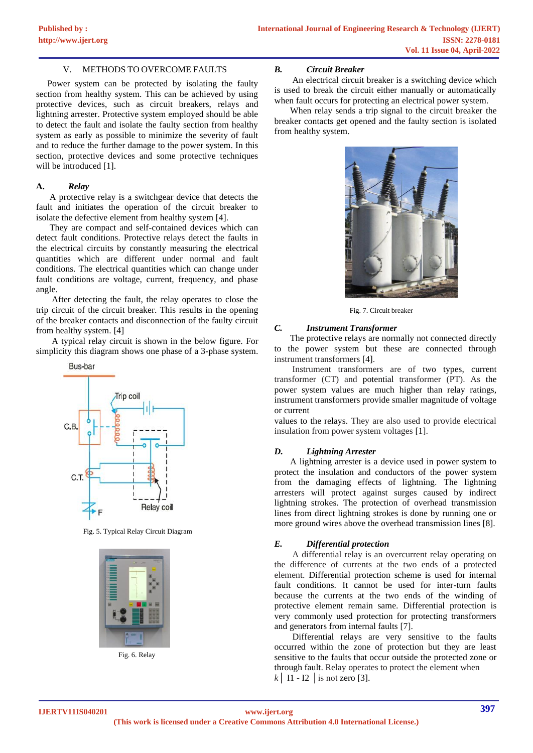## V. METHODS TO OVERCOME FAULTS

 Power system can be protected by isolating the faulty section from healthy system. This can be achieved by using protective devices, such as circuit breakers, relays and lightning arrester. Protective system employed should be able to detect the fault and isolate the faulty section from healthy system as early as possible to minimize the severity of fault and to reduce the further damage to the power system. In this section, protective devices and some protective techniques will be introduced [1].

#### **A.** *Relay*

 A protective relay is a switchgear device that detects the fault and initiates the operation of the circuit breaker to isolate the defective element from healthy system [4].

 They are compact and self-contained devices which can detect fault conditions. Protective relays detect the faults in the electrical circuits by constantly measuring the electrical quantities which are different under normal and fault conditions. The electrical quantities which can change under fault conditions are voltage, current, frequency, and phase angle.

 After detecting the fault, the relay operates to close the trip circuit of the circuit breaker. This results in the opening of the breaker contacts and disconnection of the faulty circuit from healthy system. [4]

 A typical relay circuit is shown in the below figure. For simplicity this diagram shows one phase of a 3-phase system.



Fig. 5. Typical Relay Circuit Diagram



Fig. 6. Relay

## *B. Circuit Breaker*

 An electrical circuit breaker is a switching device which is used to break the circuit either manually or automatically when fault occurs for protecting an electrical power system.

 When relay sends a trip signal to the circuit breaker the breaker contacts get opened and the faulty section is isolated from healthy system.



Fig. 7. Circuit breaker

## *C. Instrument Transformer*

 The protective relays are normally not connected directly to the power system but these are connected through instrument transformers [4].

 Instrument transformers are of two types, current transformer (CT) and potential transformer (PT). As the power system values are much higher than relay ratings, instrument transformers provide smaller magnitude of voltage or current

values to the relays. They are also used to provide electrical insulation from power system voltages [1].

# *D. Lightning Arrester*

 A lightning arrester is a device used in power system to protect the insulation and conductors of the power system from the damaging effects of lightning. The lightning arresters will protect against surges caused by indirect lightning strokes. The protection of overhead transmission lines from direct lightning strokes is done by running one or more ground wires above the overhead transmission lines [8].

# *E. Differential protection*

 A differential relay is an overcurrent relay operating on the difference of currents at the two ends of a protected element. Differential protection scheme is used for internal fault conditions. It cannot be used for inter-turn faults because the currents at the two ends of the winding of protective element remain same. Differential protection is very commonly used protection for protecting transformers and generators from internal faults [7].

 Differential relays are very sensitive to the faults occurred within the zone of protection but they are least sensitive to the faults that occur outside the protected zone or through fault. Relay operates to protect the element when  $k$  | I1 - I2 | is not zero [3].